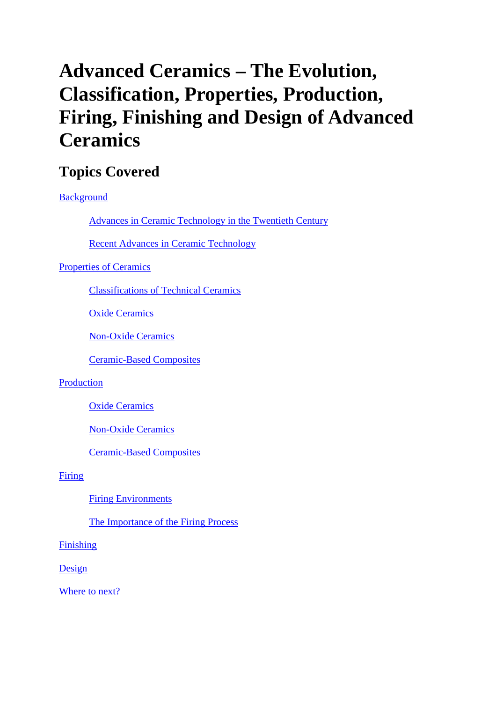# **Advanced Ceramics – The Evolution, Classification, Properties, Production, Firing, Finishing and Design of Advanced Ceramics**

### **Topics Covered**

#### Background

Advances in Ceramic Technology in the Twentieth Century

Recent Advances in Ceramic Technology

#### Properties of Ceramics

Classifications of Technical Ceramics

Oxide Ceramics

Non-Oxide Ceramics

Ceramic-Based Composites

#### Production

Oxide Ceramics

Non-Oxide Ceramics

Ceramic-Based Composites

#### Firing

Firing Environments

The Importance of the Firing Process

#### Finishing

Design

Where to next?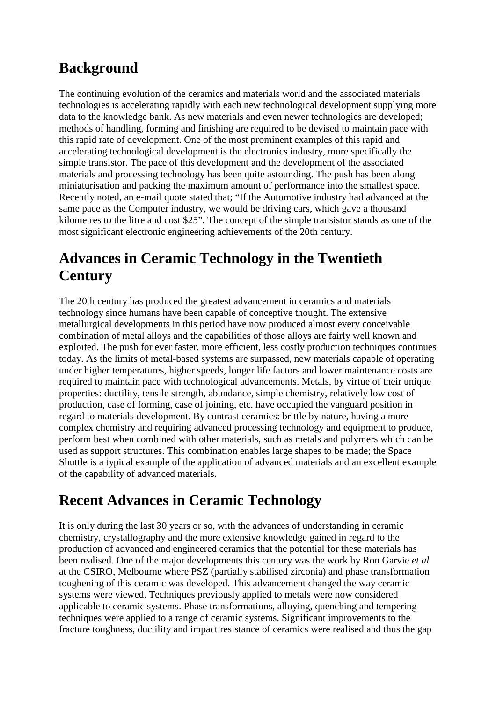#### **Background**

The continuing evolution of the ceramics and materials world and the associated materials technologies is accelerating rapidly with each new technological development supplying more data to the knowledge bank. As new materials and even newer technologies are developed; methods of handling, forming and finishing are required to be devised to maintain pace with this rapid rate of development. One of the most prominent examples of this rapid and accelerating technological development is the electronics industry, more specifically the simple transistor. The pace of this development and the development of the associated materials and processing technology has been quite astounding. The push has been along miniaturisation and packing the maximum amount of performance into the smallest space. Recently noted, an e-mail quote stated that; "If the Automotive industry had advanced at the same pace as the Computer industry, we would be driving cars, which gave a thousand kilometres to the litre and cost \$25". The concept of the simple transistor stands as one of the most significant electronic engineering achievements of the 20th century.

# **Advances in Ceramic Technology in the Twentieth Century**

The 20th century has produced the greatest advancement in ceramics and materials technology since humans have been capable of conceptive thought. The extensive metallurgical developments in this period have now produced almost every conceivable combination of metal alloys and the capabilities of those alloys are fairly well known and exploited. The push for ever faster, more efficient, less costly production techniques continues today. As the limits of metal-based systems are surpassed, new materials capable of operating under higher temperatures, higher speeds, longer life factors and lower maintenance costs are required to maintain pace with technological advancements. Metals, by virtue of their unique properties: ductility, tensile strength, abundance, simple chemistry, relatively low cost of production, case of forming, case of joining, etc. have occupied the vanguard position in regard to materials development. By contrast ceramics: brittle by nature, having a more complex chemistry and requiring advanced processing technology and equipment to produce, perform best when combined with other materials, such as metals and polymers which can be used as support structures. This combination enables large shapes to be made; the Space Shuttle is a typical example of the application of advanced materials and an excellent example of the capability of advanced materials.

#### **Recent Advances in Ceramic Technology**

It is only during the last 30 years or so, with the advances of understanding in ceramic chemistry, crystallography and the more extensive knowledge gained in regard to the production of advanced and engineered ceramics that the potential for these materials has been realised. One of the major developments this century was the work by Ron Garvie *et al* at the CSIRO, Melbourne where PSZ (partially stabilised zirconia) and phase transformation toughening of this ceramic was developed. This advancement changed the way ceramic systems were viewed. Techniques previously applied to metals were now considered applicable to ceramic systems. Phase transformations, alloying, quenching and tempering techniques were applied to a range of ceramic systems. Significant improvements to the fracture toughness, ductility and impact resistance of ceramics were realised and thus the gap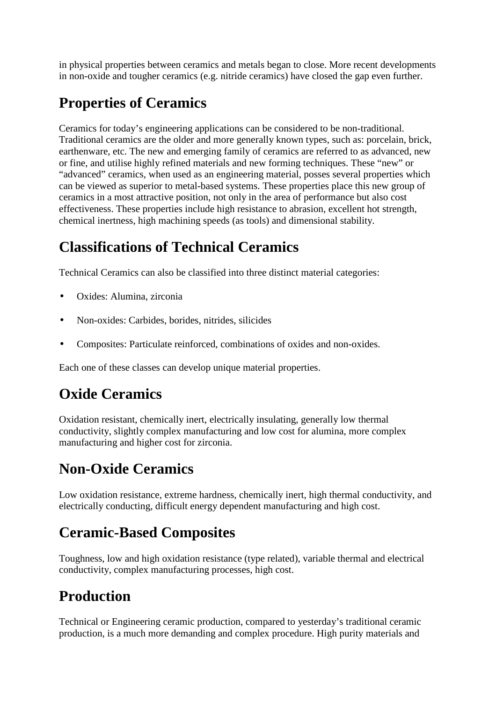in physical properties between ceramics and metals began to close. More recent developments in non-oxide and tougher ceramics (e.g. nitride ceramics) have closed the gap even further.

# **Properties of Ceramics**

Ceramics for today's engineering applications can be considered to be non-traditional. Traditional ceramics are the older and more generally known types, such as: porcelain, brick, earthenware, etc. The new and emerging family of ceramics are referred to as advanced, new or fine, and utilise highly refined materials and new forming techniques. These "new" or "advanced" ceramics, when used as an engineering material, posses several properties which can be viewed as superior to metal-based systems. These properties place this new group of ceramics in a most attractive position, not only in the area of performance but also cost effectiveness. These properties include high resistance to abrasion, excellent hot strength, chemical inertness, high machining speeds (as tools) and dimensional stability.

# **Classifications of Technical Ceramics**

Technical Ceramics can also be classified into three distinct material categories:

- Oxides: Alumina, zirconia
- Non-oxides: Carbides, borides, nitrides, silicides
- Composites: Particulate reinforced, combinations of oxides and non-oxides.

Each one of these classes can develop unique material properties.

# **Oxide Ceramics**

Oxidation resistant, chemically inert, electrically insulating, generally low thermal conductivity, slightly complex manufacturing and low cost for alumina, more complex manufacturing and higher cost for zirconia.

# **Non-Oxide Ceramics**

Low oxidation resistance, extreme hardness, chemically inert, high thermal conductivity, and electrically conducting, difficult energy dependent manufacturing and high cost.

### **Ceramic-Based Composites**

Toughness, low and high oxidation resistance (type related), variable thermal and electrical conductivity, complex manufacturing processes, high cost.

# **Production**

Technical or Engineering ceramic production, compared to yesterday's traditional ceramic production, is a much more demanding and complex procedure. High purity materials and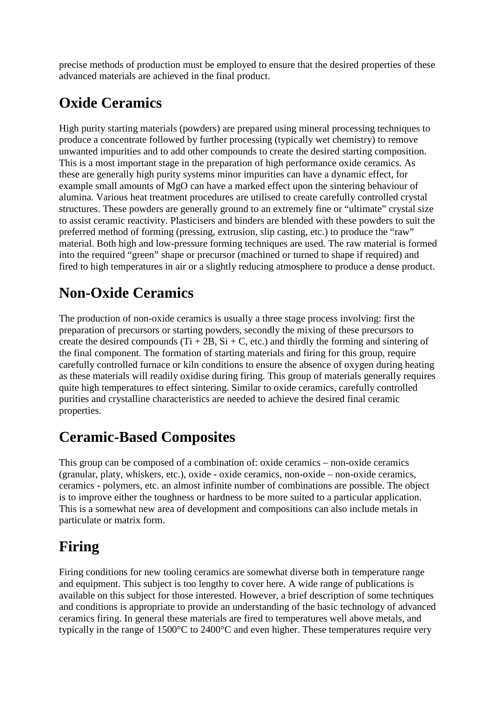precise methods of production must be employed to ensure that the desired properties of these advanced materials are achieved in the final product.

# **Oxide Ceramics**

High purity starting materials (powders) are prepared using mineral processing techniques to produce a concentrate followed by further processing (typically wet chemistry) to remove unwanted impurities and to add other compounds to create the desired starting composition. This is a most important stage in the preparation of high performance oxide ceramics. As these are generally high purity systems minor impurities can have a dynamic effect, for example small amounts of MgO can have a marked effect upon the sintering behaviour of alumina. Various heat treatment procedures are utilised to create carefully controlled crystal structures. These powders are generally ground to an extremely fine or "ultimate" crystal size to assist ceramic reactivity. Plasticisers and binders are blended with these powders to suit the preferred method of forming (pressing, extrusion, slip casting, etc.) to produce the "raw" material. Both high and low-pressure forming techniques are used. The raw material is formed into the required "green" shape or precursor (machined or turned to shape if required) and fired to high temperatures in air or a slightly reducing atmosphere to produce a dense product.

# **Non-Oxide Ceramics**

The production of non-oxide ceramics is usually a three stage process involving: first the preparation of precursors or starting powders, secondly the mixing of these precursors to create the desired compounds (Ti + 2B, Si + C, etc.) and thirdly the forming and sintering of the final component. The formation of starting materials and firing for this group, require carefully controlled furnace or kiln conditions to ensure the absence of oxygen during heating as these materials will readily oxidise during firing. This group of materials generally requires quite high temperatures to effect sintering. Similar to oxide ceramics, carefully controlled purities and crystalline characteristics are needed to achieve the desired final ceramic properties.

# **Ceramic-Based Composites**

This group can be composed of a combination of: oxide ceramics – non-oxide ceramics (granular, platy, whiskers, etc.), oxide - oxide ceramics, non-oxide – non-oxide ceramics, ceramics - polymers, etc. an almost infinite number of combinations are possible. The object is to improve either the toughness or hardness to be more suited to a particular application. This is a somewhat new area of development and compositions can also include metals in particulate or matrix form.

### **Firing**

Firing conditions for new tooling ceramics are somewhat diverse both in temperature range and equipment. This subject is too lengthy to cover here. A wide range of publications is available on this subject for those interested. However, a brief description of some techniques and conditions is appropriate to provide an understanding of the basic technology of advanced ceramics firing. In general these materials are fired to temperatures well above metals, and typically in the range of 1500°C to 2400°C and even higher. These temperatures require very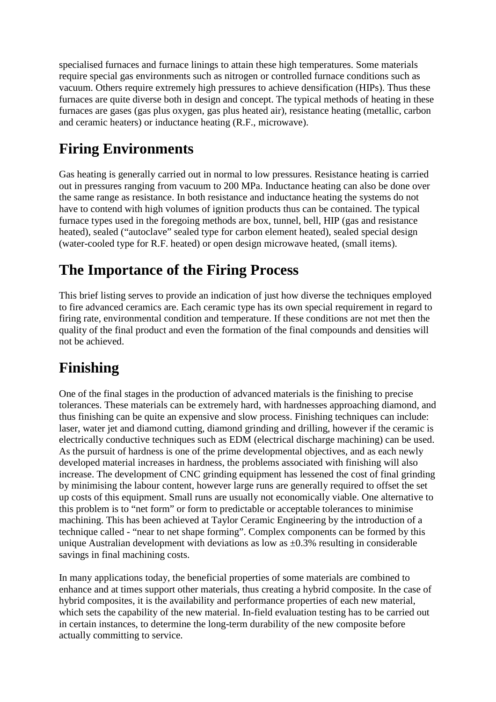specialised furnaces and furnace linings to attain these high temperatures. Some materials require special gas environments such as nitrogen or controlled furnace conditions such as vacuum. Others require extremely high pressures to achieve densification (HIPs). Thus these furnaces are quite diverse both in design and concept. The typical methods of heating in these furnaces are gases (gas plus oxygen, gas plus heated air), resistance heating (metallic, carbon and ceramic heaters) or inductance heating (R.F., microwave).

# **Firing Environments**

Gas heating is generally carried out in normal to low pressures. Resistance heating is carried out in pressures ranging from vacuum to 200 MPa. Inductance heating can also be done over the same range as resistance. In both resistance and inductance heating the systems do not have to contend with high volumes of ignition products thus can be contained. The typical furnace types used in the foregoing methods are box, tunnel, bell, HIP (gas and resistance heated), sealed ("autoclave" sealed type for carbon element heated), sealed special design (water-cooled type for R.F. heated) or open design microwave heated, (small items).

#### **The Importance of the Firing Process**

This brief listing serves to provide an indication of just how diverse the techniques employed to fire advanced ceramics are. Each ceramic type has its own special requirement in regard to firing rate, environmental condition and temperature. If these conditions are not met then the quality of the final product and even the formation of the final compounds and densities will not be achieved.

### **Finishing**

One of the final stages in the production of advanced materials is the finishing to precise tolerances. These materials can be extremely hard, with hardnesses approaching diamond, and thus finishing can be quite an expensive and slow process. Finishing techniques can include: laser, water jet and diamond cutting, diamond grinding and drilling, however if the ceramic is electrically conductive techniques such as EDM (electrical discharge machining) can be used. As the pursuit of hardness is one of the prime developmental objectives, and as each newly developed material increases in hardness, the problems associated with finishing will also increase. The development of CNC grinding equipment has lessened the cost of final grinding by minimising the labour content, however large runs are generally required to offset the set up costs of this equipment. Small runs are usually not economically viable. One alternative to this problem is to "net form" or form to predictable or acceptable tolerances to minimise machining. This has been achieved at Taylor Ceramic Engineering by the introduction of a technique called - "near to net shape forming". Complex components can be formed by this unique Australian development with deviations as low as  $\pm 0.3\%$  resulting in considerable savings in final machining costs.

In many applications today, the beneficial properties of some materials are combined to enhance and at times support other materials, thus creating a hybrid composite. In the case of hybrid composites, it is the availability and performance properties of each new material, which sets the capability of the new material. In-field evaluation testing has to be carried out in certain instances, to determine the long-term durability of the new composite before actually committing to service.